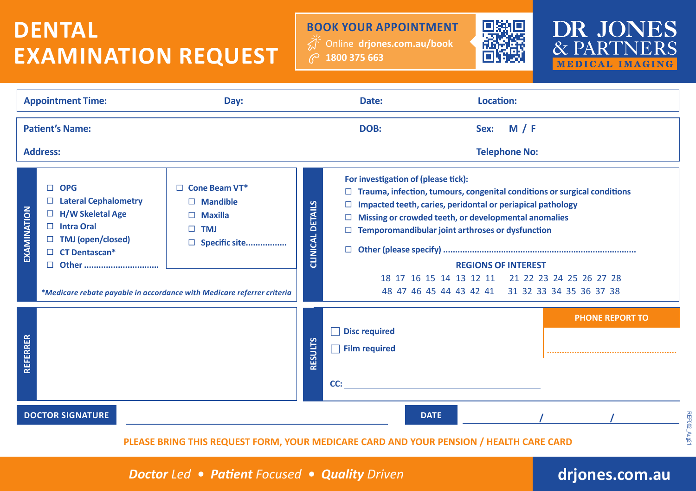## **DENTAL EXAMINATION REQUEST**

Online **drjones.com.au/book 1800 375 663 BOOK YOUR APPOINTMENT**





| <b>Appointment Time:</b><br>Day:          |                                                                                                                                                                                                                                                                                                                                     | Date:                                                                                  |                | Location:                                                                                                                                                                                                                                                                                                                                                                                                                                                   |                      |  |                        |  |  |  |  |
|-------------------------------------------|-------------------------------------------------------------------------------------------------------------------------------------------------------------------------------------------------------------------------------------------------------------------------------------------------------------------------------------|----------------------------------------------------------------------------------------|----------------|-------------------------------------------------------------------------------------------------------------------------------------------------------------------------------------------------------------------------------------------------------------------------------------------------------------------------------------------------------------------------------------------------------------------------------------------------------------|----------------------|--|------------------------|--|--|--|--|
| <b>Patient's Name:</b><br><b>Address:</b> |                                                                                                                                                                                                                                                                                                                                     |                                                                                        |                | DOB:                                                                                                                                                                                                                                                                                                                                                                                                                                                        | <b>Telephone No:</b> |  |                        |  |  |  |  |
| EXAMINATION                               | $\Box$ OPG<br>$\Box$ Cone Beam VT*<br><b>Lateral Cephalometry</b><br>$\Box$ Mandible<br>⊔<br>$\Box$ H/W Skeletal Age<br>Maxilla<br>$\Box$ Intra Oral<br><b>TMJ</b><br>$\Box$ TMJ (open/closed)<br>$\Box$ Specific site<br>$\Box$ CT Dentascan*<br>□ Other<br>*Medicare rebate payable in accordance with Medicare referrer criteria |                                                                                        |                | For investigation of (please tick):<br>Trauma, infection, tumours, congenital conditions or surgical conditions<br>CLINICAL DETAILS<br>Impacted teeth, caries, peridontal or periapical pathology<br>Missing or crowded teeth, or developmental anomalies<br>Temporomandibular joint arthroses or dysfunction<br>$\Box$<br><b>REGIONS OF INTEREST</b><br>18 17 16 15 14 13 12 11 21 22 23 24 25 26 27 28<br>48 47 46 45 44 43 42 41 31 32 33 34 35 36 37 38 |                      |  |                        |  |  |  |  |
| REFERRER                                  |                                                                                                                                                                                                                                                                                                                                     |                                                                                        | <b>RESULTS</b> | <b>Disc required</b><br>$\Box$ Film required<br>CC:                                                                                                                                                                                                                                                                                                                                                                                                         |                      |  | <b>PHONE REPORT TO</b> |  |  |  |  |
| <b>DOCTOR SIGNATURE</b>                   |                                                                                                                                                                                                                                                                                                                                     |                                                                                        |                |                                                                                                                                                                                                                                                                                                                                                                                                                                                             | <b>DATE</b>          |  |                        |  |  |  |  |
|                                           |                                                                                                                                                                                                                                                                                                                                     | PLEASE BRING THIS REQUEST FORM, YOUR MEDICARE CARD AND YOUR PENSION / HEALTH CARE CARD |                |                                                                                                                                                                                                                                                                                                                                                                                                                                                             |                      |  |                        |  |  |  |  |

*Doctor Led • Patient Focused • Quality Driven*

## **drjones.com.au**

REF002\_Aug21

**REF002\_Aug21**